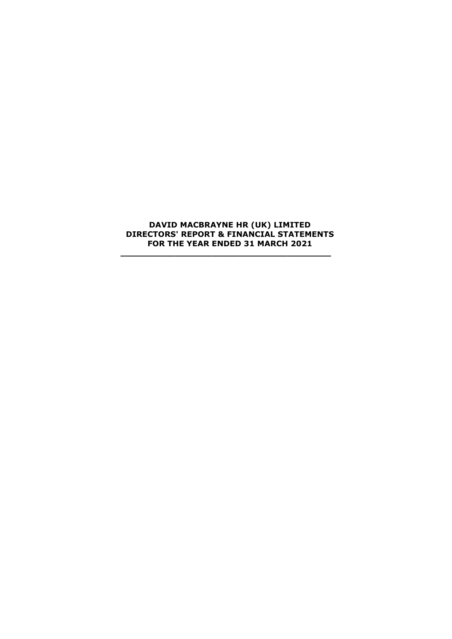# **DAVID MACBRAYNE HR (UK) LIMITED DIRECTORS' REPORT & FINANCIAL STATEMENTS FOR THE YEAR ENDED 31 MARCH 2021**

**\_\_\_\_\_\_\_\_\_\_\_\_\_\_\_\_\_\_\_\_\_\_\_\_\_\_\_\_\_\_\_\_\_\_\_\_\_\_\_**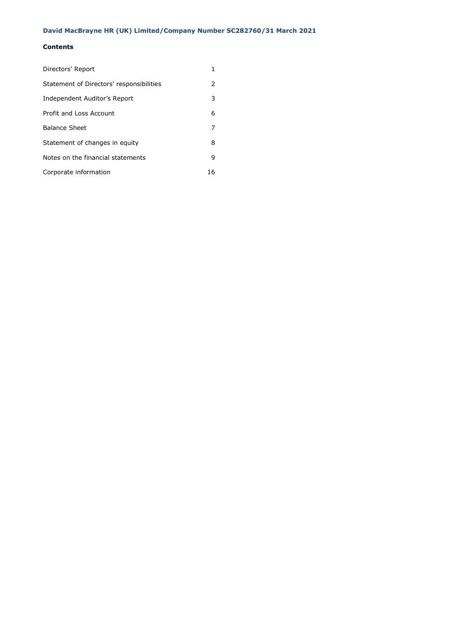# **Contents**

| Directors' Report                        |    |
|------------------------------------------|----|
| Statement of Directors' responsibilities | 2  |
| Independent Auditor's Report             | 3  |
| Profit and Loss Account                  | 6  |
| <b>Balance Sheet</b>                     | 7  |
| Statement of changes in equity           | 8  |
| Notes on the financial statements        | 9  |
| Corporate information                    | 16 |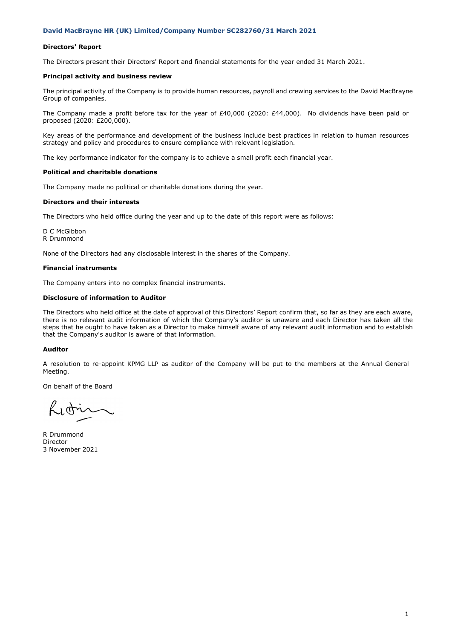### **Directors' Report**

The Directors present their Directors' Report and financial statements for the year ended 31 March 2021.

#### **Principal activity and business review**

The principal activity of the Company is to provide human resources, payroll and crewing services to the David MacBrayne Group of companies.

The Company made a profit before tax for the year of £40,000 (2020: £44,000). No dividends have been paid or proposed (2020: £200,000).

Key areas of the performance and development of the business include best practices in relation to human resources strategy and policy and procedures to ensure compliance with relevant legislation.

The key performance indicator for the company is to achieve a small profit each financial year.

## **Political and charitable donations**

The Company made no political or charitable donations during the year.

#### **Directors and their interests**

The Directors who held office during the year and up to the date of this report were as follows:

D C McGibbon R Drummond

None of the Directors had any disclosable interest in the shares of the Company.

#### **Financial instruments**

The Company enters into no complex financial instruments.

#### **Disclosure of information to Auditor**

The Directors who held office at the date of approval of this Directors' Report confirm that, so far as they are each aware, there is no relevant audit information of which the Company's auditor is unaware and each Director has taken all the steps that he ought to have taken as a Director to make himself aware of any relevant audit information and to establish that the Company's auditor is aware of that information.

## **Auditor**

A resolution to re-appoint KPMG LLP as auditor of the Company will be put to the members at the Annual General Meeting.

On behalf of the Board

 $k_1$ gti

R Drummond Director 3 November 2021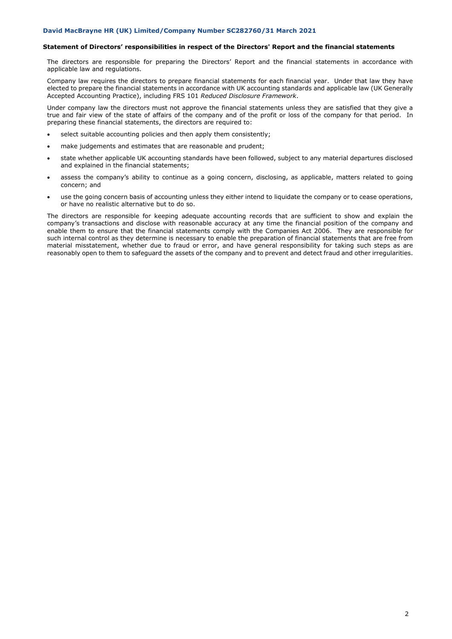# **Statement of Directors' responsibilities in respect of the Directors' Report and the financial statements**

The directors are responsible for preparing the Directors' Report and the financial statements in accordance with applicable law and regulations.

Company law requires the directors to prepare financial statements for each financial year. Under that law they have elected to prepare the financial statements in accordance with UK accounting standards and applicable law (UK Generally Accepted Accounting Practice), including FRS 101 *Reduced Disclosure Framework*.

Under company law the directors must not approve the financial statements unless they are satisfied that they give a true and fair view of the state of affairs of the company and of the profit or loss of the company for that period. In preparing these financial statements, the directors are required to:

- select suitable accounting policies and then apply them consistently;
- make judgements and estimates that are reasonable and prudent;
- state whether applicable UK accounting standards have been followed, subject to any material departures disclosed and explained in the financial statements;
- assess the company's ability to continue as a going concern, disclosing, as applicable, matters related to going concern; and
- use the going concern basis of accounting unless they either intend to liquidate the company or to cease operations, or have no realistic alternative but to do so.

The directors are responsible for keeping adequate accounting records that are sufficient to show and explain the company's transactions and disclose with reasonable accuracy at any time the financial position of the company and enable them to ensure that the financial statements comply with the Companies Act 2006. They are responsible for such internal control as they determine is necessary to enable the preparation of financial statements that are free from material misstatement, whether due to fraud or error, and have general responsibility for taking such steps as are reasonably open to them to safeguard the assets of the company and to prevent and detect fraud and other irregularities.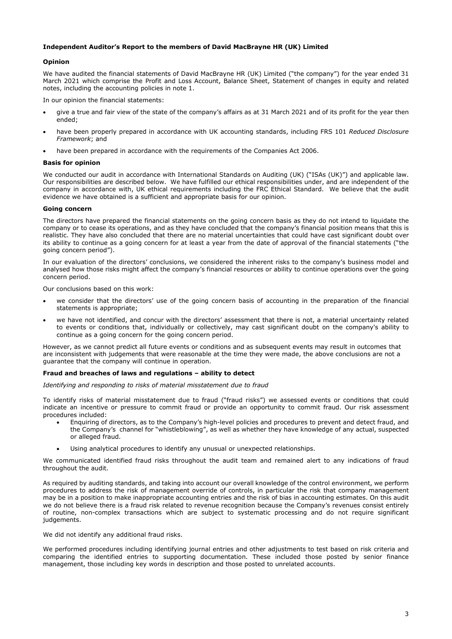# **Independent Auditor's Report to the members of David MacBrayne HR (UK) Limited**

# **Opinion**

We have audited the financial statements of David MacBrayne HR (UK) Limited ("the company") for the year ended 31 March 2021 which comprise the Profit and Loss Account, Balance Sheet, Statement of changes in equity and related notes, including the accounting policies in note 1.

In our opinion the financial statements:

- give a true and fair view of the state of the company's affairs as at 31 March 2021 and of its profit for the year then ended;
- have been properly prepared in accordance with UK accounting standards, including FRS 101 *Reduced Disclosure Framework*; and
- have been prepared in accordance with the requirements of the Companies Act 2006.

## **Basis for opinion**

We conducted our audit in accordance with International Standards on Auditing (UK) ("ISAs (UK)") and applicable law. Our responsibilities are described below. We have fulfilled our ethical responsibilities under, and are independent of the company in accordance with, UK ethical requirements including the FRC Ethical Standard. We believe that the audit evidence we have obtained is a sufficient and appropriate basis for our opinion.

## **Going concern**

The directors have prepared the financial statements on the going concern basis as they do not intend to liquidate the company or to cease its operations, and as they have concluded that the company's financial position means that this is realistic. They have also concluded that there are no material uncertainties that could have cast significant doubt over its ability to continue as a going concern for at least a year from the date of approval of the financial statements ("the going concern period").

In our evaluation of the directors' conclusions, we considered the inherent risks to the company's business model and analysed how those risks might affect the company's financial resources or ability to continue operations over the going concern period.

Our conclusions based on this work:

- we consider that the directors' use of the going concern basis of accounting in the preparation of the financial statements is appropriate;
- we have not identified, and concur with the directors' assessment that there is not, a material uncertainty related to events or conditions that, individually or collectively, may cast significant doubt on the company's ability to continue as a going concern for the going concern period.

However, as we cannot predict all future events or conditions and as subsequent events may result in outcomes that are inconsistent with judgements that were reasonable at the time they were made, the above conclusions are not a guarantee that the company will continue in operation.

#### **Fraud and breaches of laws and regulations – ability to detect**

*Identifying and responding to risks of material misstatement due to fraud*

To identify risks of material misstatement due to fraud ("fraud risks") we assessed events or conditions that could indicate an incentive or pressure to commit fraud or provide an opportunity to commit fraud. Our risk assessment procedures included:

- Enquiring of directors, as to the Company's high-level policies and procedures to prevent and detect fraud, and the Company's channel for "whistleblowing", as well as whether they have knowledge of any actual, suspected or alleged fraud.
- Using analytical procedures to identify any unusual or unexpected relationships.

We communicated identified fraud risks throughout the audit team and remained alert to any indications of fraud throughout the audit.

As required by auditing standards, and taking into account our overall knowledge of the control environment, we perform procedures to address the risk of management override of controls, in particular the risk that company management may be in a position to make inappropriate accounting entries and the risk of bias in accounting estimates. On this audit we do not believe there is a fraud risk related to revenue recognition because the Company's revenues consist entirely of routine, non-complex transactions which are subject to systematic processing and do not require significant judgements.

# We did not identify any additional fraud risks.

We performed procedures including identifying journal entries and other adjustments to test based on risk criteria and comparing the identified entries to supporting documentation. These included those posted by senior finance management, those including key words in description and those posted to unrelated accounts.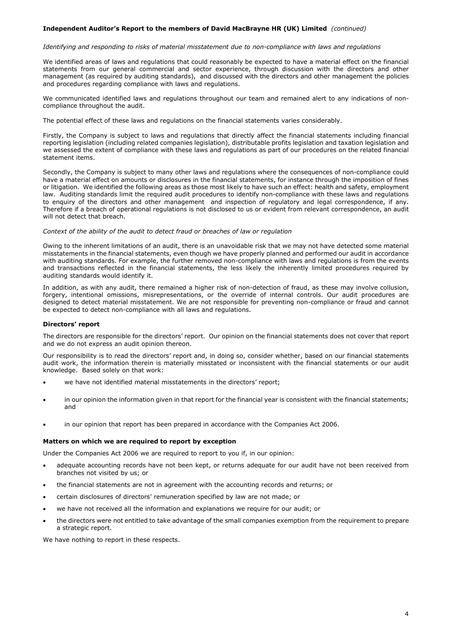# **Independent Auditor's Report to the members of David MacBrayne HR (UK) Limited** *(continued)*

#### *Identifying and responding to risks of material misstatement due to non-compliance with laws and regulations*

We identified areas of laws and regulations that could reasonably be expected to have a material effect on the financial statements from our general commercial and sector experience, through discussion with the directors and other management (as required by auditing standards), and discussed with the directors and other management the policies and procedures regarding compliance with laws and regulations.

We communicated identified laws and regulations throughout our team and remained alert to any indications of noncompliance throughout the audit.

The potential effect of these laws and regulations on the financial statements varies considerably.

Firstly, the Company is subject to laws and regulations that directly affect the financial statements including financial reporting legislation (including related companies legislation), distributable profits legislation and taxation legislation and we assessed the extent of compliance with these laws and regulations as part of our procedures on the related financial statement items.

Secondly, the Company is subject to many other laws and regulations where the consequences of non-compliance could have a material effect on amounts or disclosures in the financial statements, for instance through the imposition of fines or litigation. We identified the following areas as those most likely to have such an effect: health and safety, employment law. Auditing standards limit the required audit procedures to identify non-compliance with these laws and regulations to enquiry of the directors and other management and inspection of regulatory and legal correspondence, if any. Therefore if a breach of operational regulations is not disclosed to us or evident from relevant correspondence, an audit will not detect that breach.

#### *Context of the ability of the audit to detect fraud or breaches of law or regulation*

Owing to the inherent limitations of an audit, there is an unavoidable risk that we may not have detected some material misstatements in the financial statements, even though we have properly planned and performed our audit in accordance with auditing standards. For example, the further removed non-compliance with laws and regulations is from the events and transactions reflected in the financial statements, the less likely the inherently limited procedures required by auditing standards would identify it.

In addition, as with any audit, there remained a higher risk of non-detection of fraud, as these may involve collusion, forgery, intentional omissions, misrepresentations, or the override of internal controls. Our audit procedures are designed to detect material misstatement. We are not responsible for preventing non-compliance or fraud and cannot be expected to detect non-compliance with all laws and regulations.

#### **Directors' report**

The directors are responsible for the directors' report. Our opinion on the financial statements does not cover that report and we do not express an audit opinion thereon.

Our responsibility is to read the directors' report and, in doing so, consider whether, based on our financial statements audit work, the information therein is materially misstated or inconsistent with the financial statements or our audit knowledge. Based solely on that work:

- we have not identified material misstatements in the directors' report;
- in our opinion the information given in that report for the financial year is consistent with the financial statements; and
- in our opinion that report has been prepared in accordance with the Companies Act 2006.

#### **Matters on which we are required to report by exception**

Under the Companies Act 2006 we are required to report to you if, in our opinion:

- adequate accounting records have not been kept, or returns adequate for our audit have not been received from branches not visited by us; or
- the financial statements are not in agreement with the accounting records and returns; or
- certain disclosures of directors' remuneration specified by law are not made; or
- we have not received all the information and explanations we require for our audit; or
- the directors were not entitled to take advantage of the small companies exemption from the requirement to prepare a strategic report.

We have nothing to report in these respects.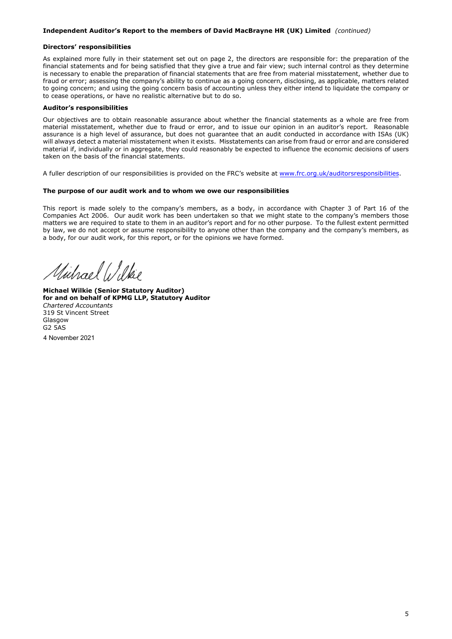# **Independent Auditor's Report to the members of David MacBrayne HR (UK) Limited** *(continued)*

### **Directors' responsibilities**

As explained more fully in their statement set out on page 2, the directors are responsible for: the preparation of the financial statements and for being satisfied that they give a true and fair view; such internal control as they determine is necessary to enable the preparation of financial statements that are free from material misstatement, whether due to fraud or error; assessing the company's ability to continue as a going concern, disclosing, as applicable, matters related to going concern; and using the going concern basis of accounting unless they either intend to liquidate the company or to cease operations, or have no realistic alternative but to do so.

## **Auditor's responsibilities**

Our objectives are to obtain reasonable assurance about whether the financial statements as a whole are free from material misstatement, whether due to fraud or error, and to issue our opinion in an auditor's report. Reasonable assurance is a high level of assurance, but does not guarantee that an audit conducted in accordance with ISAs (UK) will always detect a material misstatement when it exists. Misstatements can arise from fraud or error and are considered material if, individually or in aggregate, they could reasonably be expected to influence the economic decisions of users taken on the basis of the financial statements.

A fuller description of our responsibilities is provided on the FRC's website at [www.frc.org.uk/auditorsresponsibilities.](http://www.frc.org.uk/auditorsresponsibilities)

#### **The purpose of our audit work and to whom we owe our responsibilities**

This report is made solely to the company's members, as a body, in accordance with Chapter 3 of Part 16 of the Companies Act 2006. Our audit work has been undertaken so that we might state to the company's members those matters we are required to state to them in an auditor's report and for no other purpose. To the fullest extent permitted by law, we do not accept or assume responsibility to anyone other than the company and the company's members, as a body, for our audit work, for this report, or for the opinions we have formed.

Michael Wilkie

**Michael Wilkie (Senior Statutory Auditor) for and on behalf of KPMG LLP, Statutory Auditor** *Chartered Accountants* 319 St Vincent Street Glasgow G2 5AS

4 November 2021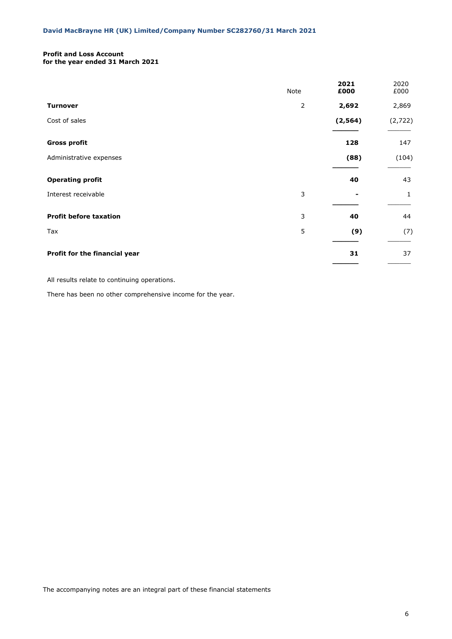# **Profit and Loss Account for the year ended 31 March 2021**

|                               | Note           | 2021<br>£000 | 2020<br>£000 |
|-------------------------------|----------------|--------------|--------------|
| <b>Turnover</b>               | $\overline{2}$ | 2,692        | 2,869        |
| Cost of sales                 |                | (2, 564)     | (2, 722)     |
| <b>Gross profit</b>           |                | 128          | 147          |
| Administrative expenses       |                | (88)         | (104)        |
| <b>Operating profit</b>       |                | 40           | 43           |
| Interest receivable           | 3              |              | $\mathbf{1}$ |
| <b>Profit before taxation</b> | 3              | 40           | 44           |
| Tax                           | 5              | (9)          | (7)          |
| Profit for the financial year |                | 31           | 37           |
|                               |                |              |              |

All results relate to continuing operations.

There has been no other comprehensive income for the year.

The accompanying notes are an integral part of these financial statements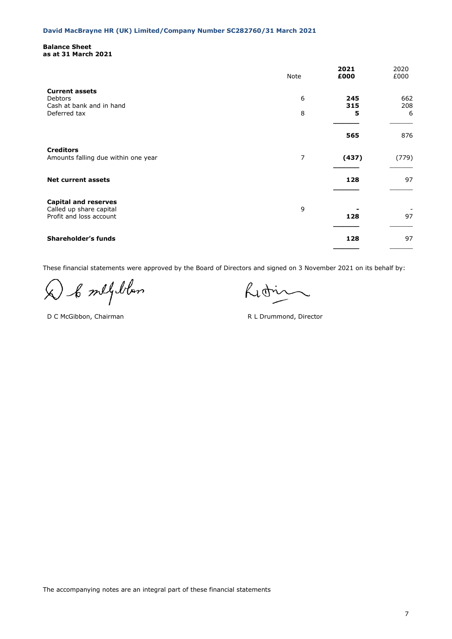# **Balance Sheet as at 31 March 2021**

|                                                                                   | Note | 2021<br>£000 | 2020<br>£000 |
|-----------------------------------------------------------------------------------|------|--------------|--------------|
| <b>Current assets</b><br><b>Debtors</b><br>Cash at bank and in hand               | 6    | 245<br>315   | 662<br>208   |
| Deferred tax                                                                      | 8    | 5<br>565     | 6<br>876     |
| <b>Creditors</b><br>Amounts falling due within one year                           | 7    | (437)        | (779)        |
| <b>Net current assets</b>                                                         |      | 128          | 97           |
| <b>Capital and reserves</b><br>Called up share capital<br>Profit and loss account | 9    | 128          | 97           |
| <b>Shareholder's funds</b>                                                        |      | 128          | 97           |

These financial statements were approved by the Board of Directors and signed on 3 November 2021 on its behalf by:

D & megblom

D C McGibbon, Chairman R L Drummond, Director

Lidrin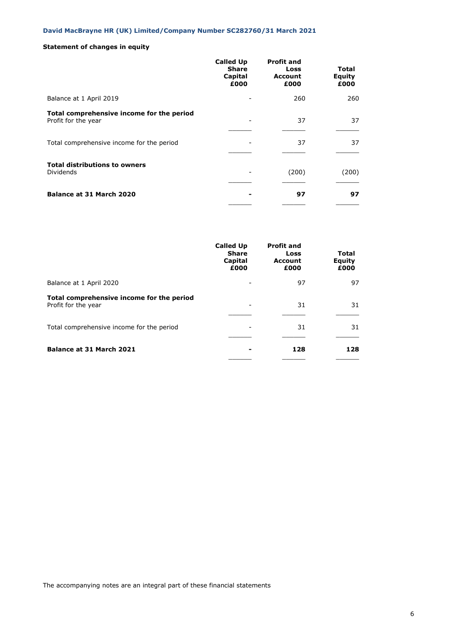# **Statement of changes in equity**

|                                                                  | <b>Called Up</b><br><b>Share</b><br>Capital<br>£000 | <b>Profit and</b><br>Loss<br>Account<br>£000 | Total<br>Equity<br>£000 |
|------------------------------------------------------------------|-----------------------------------------------------|----------------------------------------------|-------------------------|
| Balance at 1 April 2019                                          |                                                     | 260                                          | 260                     |
| Total comprehensive income for the period<br>Profit for the year |                                                     | 37                                           | 37                      |
| Total comprehensive income for the period                        |                                                     | 37                                           | 37                      |
| <b>Total distributions to owners</b><br><b>Dividends</b>         |                                                     | (200)                                        | (200)                   |
| <b>Balance at 31 March 2020</b>                                  |                                                     | 97                                           | 97                      |

|                                                                  | <b>Called Up</b><br><b>Share</b><br>Capital<br>£000 | <b>Profit and</b><br>Loss<br><b>Account</b><br>£000 | Total<br>Equity<br>£000 |
|------------------------------------------------------------------|-----------------------------------------------------|-----------------------------------------------------|-------------------------|
| Balance at 1 April 2020                                          |                                                     | 97                                                  | 97                      |
| Total comprehensive income for the period<br>Profit for the year |                                                     | 31                                                  | 31                      |
| Total comprehensive income for the period                        |                                                     | 31                                                  | 31                      |
| Balance at 31 March 2021                                         |                                                     | 128                                                 | 128                     |

The accompanying notes are an integral part of these financial statements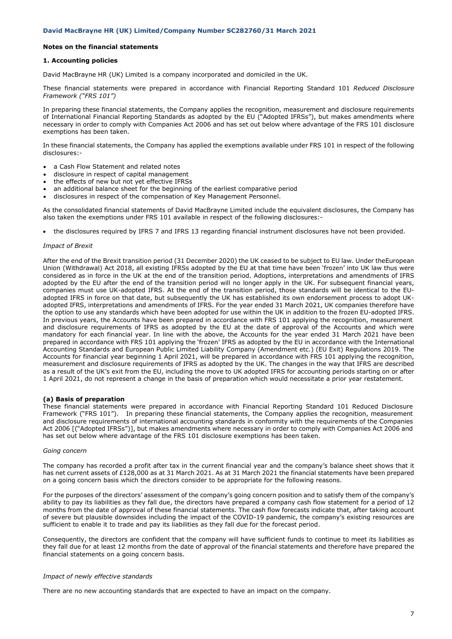#### **1. Accounting policies**

David MacBrayne HR (UK) Limited is a company incorporated and domiciled in the UK.

These financial statements were prepared in accordance with Financial Reporting Standard 101 *Reduced Disclosure Framework ("FRS 101")*

In preparing these financial statements, the Company applies the recognition, measurement and disclosure requirements of International Financial Reporting Standards as adopted by the EU ("Adopted IFRSs"), but makes amendments where necessary in order to comply with Companies Act 2006 and has set out below where advantage of the FRS 101 disclosure exemptions has been taken.

In these financial statements, the Company has applied the exemptions available under FRS 101 in respect of the following disclosures:-

- a Cash Flow Statement and related notes
- disclosure in respect of capital management
- the effects of new but not yet effective IFRSs
- an additional balance sheet for the beginning of the earliest comparative period
- disclosures in respect of the compensation of Key Management Personnel.

As the consolidated financial statements of David MacBrayne Limited include the equivalent disclosures, the Company has also taken the exemptions under FRS 101 available in respect of the following disclosures:-

• the disclosures required by IFRS 7 and IFRS 13 regarding financial instrument disclosures have not been provided.

#### *Impact of Brexit*

After the end of the Brexit transition period (31 December 2020) the UK ceased to be subject to EU law. Under theEuropean Union (Withdrawal) Act 2018, all existing IFRSs adopted by the EU at that time have been 'frozen' into UK law thus were considered as in force in the UK at the end of the transition period. Adoptions, interpretations and amendments of IFRS adopted by the EU after the end of the transition period will no longer apply in the UK. For subsequent financial years, companies must use UK-adopted IFRS. At the end of the transition period, those standards will be identical to the EUadopted IFRS in force on that date, but subsequently the UK has established its own endorsement process to adopt UKadopted IFRS, interpretations and amendments of IFRS. For the year ended 31 March 2021, UK companies therefore have the option to use any standards which have been adopted for use within the UK in addition to the frozen EU-adopted IFRS. In previous years, the Accounts have been prepared in accordance with FRS 101 applying the recognition, measurement and disclosure requirements of IFRS as adopted by the EU at the date of approval of the Accounts and which were mandatory for each financial year. In line with the above, the Accounts for the year ended 31 March 2021 have been prepared in accordance with FRS 101 applying the 'frozen' IFRS as adopted by the EU in accordance with the International Accounting Standards and European Public Limited Liability Company (Amendment etc.) (EU Exit) Regulations 2019. The Accounts for financial year beginning 1 April 2021, will be prepared in accordance with FRS 101 applying the recognition, measurement and disclosure requirements of IFRS as adopted by the UK. The changes in the way that IFRS are described as a result of the UK's exit from the EU, including the move to UK adopted IFRS for accounting periods starting on or after 1 April 2021, do not represent a change in the basis of preparation which would necessitate a prior year restatement.

#### **(a) Basis of preparation**

These financial statements were prepared in accordance with Financial Reporting Standard 101 Reduced Disclosure Framework ("FRS 101"). In preparing these financial statements, the Company applies the recognition, measurement and disclosure requirements of international accounting standards in conformity with the requirements of the Companies Act 2006 [("Adopted IFRSs")], but makes amendments where necessary in order to comply with Companies Act 2006 and has set out below where advantage of the FRS 101 disclosure exemptions has been taken.

#### *Going concern*

The company has recorded a profit after tax in the current financial year and the company's balance sheet shows that it has net current assets of £128,000 as at 31 March 2021. As at 31 March 2021 the financial statements have been prepared on a going concern basis which the directors consider to be appropriate for the following reasons.

For the purposes of the directors' assessment of the company's going concern position and to satisfy them of the company's ability to pay its liabilities as they fall due, the directors have prepared a company cash flow statement for a period of 12 months from the date of approval of these financial statements. The cash flow forecasts indicate that, after taking account of severe but plausible downsides including the impact of the COVID-19 pandemic, the company's existing resources are sufficient to enable it to trade and pay its liabilities as they fall due for the forecast period.

Consequently, the directors are confident that the company will have sufficient funds to continue to meet its liabilities as they fall due for at least 12 months from the date of approval of the financial statements and therefore have prepared the financial statements on a going concern basis.

#### *Impact of newly effective standards*

There are no new accounting standards that are expected to have an impact on the company.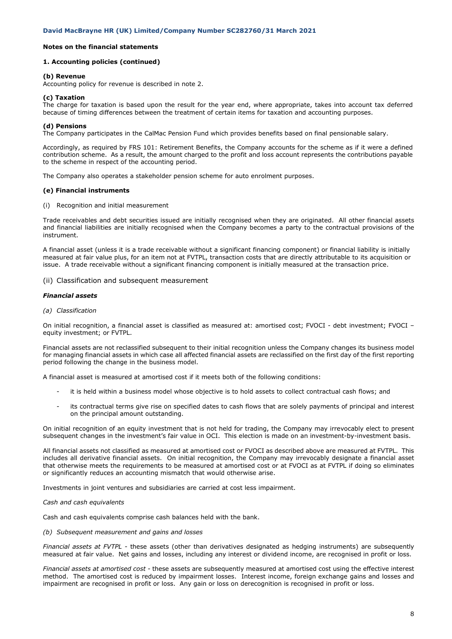# **1. Accounting policies (continued)**

# **(b) Revenue**

Accounting policy for revenue is described in note 2.

#### **(c) Taxation**

The charge for taxation is based upon the result for the year end, where appropriate, takes into account tax deferred because of timing differences between the treatment of certain items for taxation and accounting purposes.

# **(d) Pensions**

The Company participates in the CalMac Pension Fund which provides benefits based on final pensionable salary.

Accordingly, as required by FRS 101: Retirement Benefits, the Company accounts for the scheme as if it were a defined contribution scheme. As a result, the amount charged to the profit and loss account represents the contributions payable to the scheme in respect of the accounting period.

The Company also operates a stakeholder pension scheme for auto enrolment purposes.

#### **(e) Financial instruments**

(i) Recognition and initial measurement

Trade receivables and debt securities issued are initially recognised when they are originated. All other financial assets and financial liabilities are initially recognised when the Company becomes a party to the contractual provisions of the instrument.

A financial asset (unless it is a trade receivable without a significant financing component) or financial liability is initially measured at fair value plus, for an item not at FVTPL, transaction costs that are directly attributable to its acquisition or issue. A trade receivable without a significant financing component is initially measured at the transaction price.

(ii) Classification and subsequent measurement

### *Financial assets*

#### *(a) Classification*

On initial recognition, a financial asset is classified as measured at: amortised cost; FVOCI - debt investment; FVOCI – equity investment; or FVTPL.

Financial assets are not reclassified subsequent to their initial recognition unless the Company changes its business model for managing financial assets in which case all affected financial assets are reclassified on the first day of the first reporting period following the change in the business model.

A financial asset is measured at amortised cost if it meets both of the following conditions:

- it is held within a business model whose objective is to hold assets to collect contractual cash flows; and
- its contractual terms give rise on specified dates to cash flows that are solely payments of principal and interest on the principal amount outstanding.

On initial recognition of an equity investment that is not held for trading, the Company may irrevocably elect to present subsequent changes in the investment's fair value in OCI. This election is made on an investment-by-investment basis.

All financial assets not classified as measured at amortised cost or FVOCI as described above are measured at FVTPL. This includes all derivative financial assets. On initial recognition, the Company may irrevocably designate a financial asset that otherwise meets the requirements to be measured at amortised cost or at FVOCI as at FVTPL if doing so eliminates or significantly reduces an accounting mismatch that would otherwise arise.

Investments in joint ventures and subsidiaries are carried at cost less impairment.

#### *Cash and cash equivalents*

Cash and cash equivalents comprise cash balances held with the bank.

*(b) Subsequent measurement and gains and losses*

*Financial assets at FVTPL -* these assets (other than derivatives designated as hedging instruments) are subsequently measured at fair value. Net gains and losses, including any interest or dividend income, are recognised in profit or loss.

*Financial assets at amortised cost -* these assets are subsequently measured at amortised cost using the effective interest method. The amortised cost is reduced by impairment losses. Interest income, foreign exchange gains and losses and impairment are recognised in profit or loss. Any gain or loss on derecognition is recognised in profit or loss.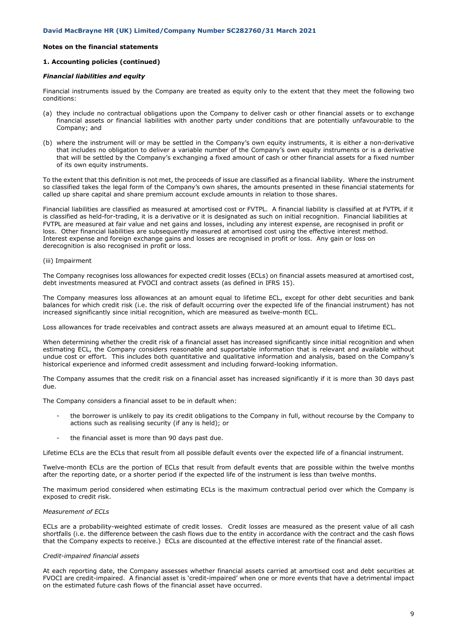# **1. Accounting policies (continued)**

#### *Financial liabilities and equity*

Financial instruments issued by the Company are treated as equity only to the extent that they meet the following two conditions:

- (a) they include no contractual obligations upon the Company to deliver cash or other financial assets or to exchange financial assets or financial liabilities with another party under conditions that are potentially unfavourable to the Company; and
- (b) where the instrument will or may be settled in the Company's own equity instruments, it is either a non-derivative that includes no obligation to deliver a variable number of the Company's own equity instruments or is a derivative that will be settled by the Company's exchanging a fixed amount of cash or other financial assets for a fixed number of its own equity instruments.

To the extent that this definition is not met, the proceeds of issue are classified as a financial liability. Where the instrument so classified takes the legal form of the Company's own shares, the amounts presented in these financial statements for called up share capital and share premium account exclude amounts in relation to those shares.

Financial liabilities are classified as measured at amortised cost or FVTPL. A financial liability is classified at at FVTPL if it is classified as held-for-trading, it is a derivative or it is designated as such on initial recognition. Financial liabilities at FVTPL are measured at fair value and net gains and losses, including any interest expense, are recognised in profit or loss. Other financial liabilities are subsequently measured at amortised cost using the effective interest method. Interest expense and foreign exchange gains and losses are recognised in profit or loss. Any gain or loss on derecognition is also recognised in profit or loss.

#### (iii) Impairment

The Company recognises loss allowances for expected credit losses (ECLs) on financial assets measured at amortised cost, debt investments measured at FVOCI and contract assets (as defined in IFRS 15).

The Company measures loss allowances at an amount equal to lifetime ECL, except for other debt securities and bank balances for which credit risk (i.e. the risk of default occurring over the expected life of the financial instrument) has not increased significantly since initial recognition, which are measured as twelve-month ECL.

Loss allowances for trade receivables and contract assets are always measured at an amount equal to lifetime ECL.

When determining whether the credit risk of a financial asset has increased significantly since initial recognition and when estimating ECL, the Company considers reasonable and supportable information that is relevant and available without undue cost or effort. This includes both quantitative and qualitative information and analysis, based on the Company's historical experience and informed credit assessment and including forward-looking information.

The Company assumes that the credit risk on a financial asset has increased significantly if it is more than 30 days past due.

The Company considers a financial asset to be in default when:

- the borrower is unlikely to pay its credit obligations to the Company in full, without recourse by the Company to actions such as realising security (if any is held); or
- the financial asset is more than 90 days past due.

Lifetime ECLs are the ECLs that result from all possible default events over the expected life of a financial instrument.

Twelve-month ECLs are the portion of ECLs that result from default events that are possible within the twelve months after the reporting date, or a shorter period if the expected life of the instrument is less than twelve months.

The maximum period considered when estimating ECLs is the maximum contractual period over which the Company is exposed to credit risk.

#### *Measurement of ECLs*

ECLs are a probability-weighted estimate of credit losses. Credit losses are measured as the present value of all cash shortfalls (i.e. the difference between the cash flows due to the entity in accordance with the contract and the cash flows that the Company expects to receive.) ECLs are discounted at the effective interest rate of the financial asset.

#### *Credit-impaired financial assets*

At each reporting date, the Company assesses whether financial assets carried at amortised cost and debt securities at FVOCI are credit-impaired. A financial asset is 'credit-impaired' when one or more events that have a detrimental impact on the estimated future cash flows of the financial asset have occurred.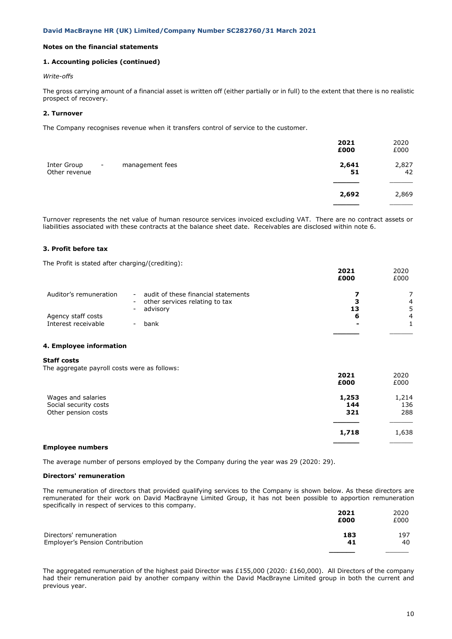# **Notes on the financial statements**

# **1. Accounting policies (continued)**

#### *Write-offs*

The gross carrying amount of a financial asset is written off (either partially or in full) to the extent that there is no realistic prospect of recovery.

## **2. Turnover**

The Company recognises revenue when it transfers control of service to the customer.

|                                                           |             | 2021<br>£000 | 2020<br>£000 |
|-----------------------------------------------------------|-------------|--------------|--------------|
| management fees<br>Inter Group<br>$\sim$<br>Other revenue | 2,641<br>51 | 2,827<br>42  |              |
|                                                           |             | 2,692        | 2,869        |

Turnover represents the net value of human resource services invoiced excluding VAT. There are no contract assets or liabilities associated with these contracts at the balance sheet date. Receivables are disclosed within note 6.

# **3. Profit before tax**

The Profit is stated after charging/(crediting):

|                        |                                                   | 2021 | 2020 |
|------------------------|---------------------------------------------------|------|------|
|                        |                                                   | £000 | £000 |
| Auditor's remuneration | audit of these financial statements<br>$\sim 100$ |      |      |
|                        | other services relating to tax<br>$\sim$          |      | 4    |
|                        | advisory<br>$\sim$                                | 13   |      |
| Agency staff costs     |                                                   |      | 4    |
| Interest receivable    | bank                                              |      |      |
|                        |                                                   |      |      |

#### **4. Employee information**

#### **Staff costs**

The aggregate payroll costs were as follows:

|                       | 2021<br>£000 | 2020<br>£000 |
|-----------------------|--------------|--------------|
| Wages and salaries    | 1,253        | 1,214        |
| Social security costs | 144          | 136          |
| Other pension costs   | 321          | 288          |
|                       | 1,718        | 1,638        |
|                       |              |              |

#### **Employee numbers**

The average number of persons employed by the Company during the year was 29 (2020: 29).

#### **Directors' remuneration**

The remuneration of directors that provided qualifying services to the Company is shown below. As these directors are remunerated for their work on David MacBrayne Limited Group, it has not been possible to apportion remuneration specifically in respect of services to this company.

|                                                                   | 2021<br>£000 | 2020<br>£000 |
|-------------------------------------------------------------------|--------------|--------------|
| Directors' remuneration<br><b>Employer's Pension Contribution</b> | 183<br>41    | 197<br>40    |
|                                                                   |              |              |

The aggregated remuneration of the highest paid Director was £155,000 (2020: £160,000). All Directors of the company had their remuneration paid by another company within the David MacBrayne Limited group in both the current and previous year.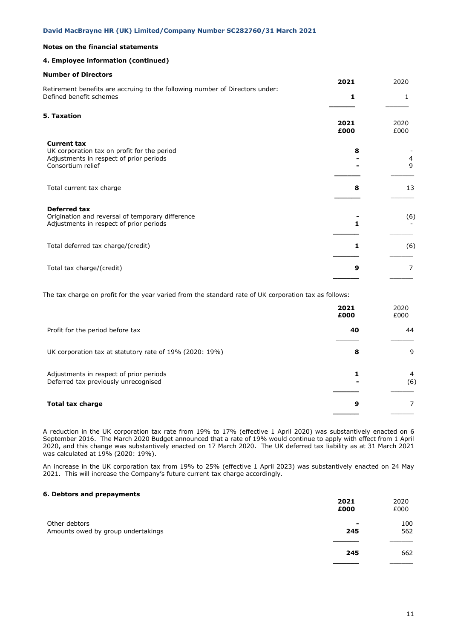# **4. Employee information (continued)**

# **Number of Directors**

|                                                                                                                                   | 2021         | 2020         |
|-----------------------------------------------------------------------------------------------------------------------------------|--------------|--------------|
| Retirement benefits are accruing to the following number of Directors under:<br>Defined benefit schemes                           | 1            | 1            |
| 5. Taxation                                                                                                                       | 2021<br>£000 | 2020<br>£000 |
| <b>Current tax</b><br>UK corporation tax on profit for the period<br>Adjustments in respect of prior periods<br>Consortium relief | 8            | 4<br>9       |
| Total current tax charge                                                                                                          | 8            | 13           |
| <b>Deferred tax</b><br>Origination and reversal of temporary difference<br>Adjustments in respect of prior periods                |              | (6)          |
| Total deferred tax charge/(credit)                                                                                                | 1            | (6)          |
| Total tax charge/(credit)                                                                                                         | 9            | 7            |
|                                                                                                                                   |              |              |

The tax charge on profit for the year varied from the standard rate of UK corporation tax as follows:

|                                                                                 | 2021<br>£000 | 2020<br>£000 |
|---------------------------------------------------------------------------------|--------------|--------------|
| Profit for the period before tax                                                | 40           | 44           |
| UK corporation tax at statutory rate of 19% (2020: 19%)                         | 8            | 9            |
| Adjustments in respect of prior periods<br>Deferred tax previously unrecognised | 1            | 4<br>(6)     |
| <b>Total tax charge</b>                                                         | 9            |              |

A reduction in the UK corporation tax rate from 19% to 17% (effective 1 April 2020) was substantively enacted on 6 September 2016. The March 2020 Budget announced that a rate of 19% would continue to apply with effect from 1 April 2020, and this change was substantively enacted on 17 March 2020. The UK deferred tax liability as at 31 March 2021 was calculated at 19% (2020: 19%).

An increase in the UK corporation tax from 19% to 25% (effective 1 April 2023) was substantively enacted on 24 May 2021. This will increase the Company's future current tax charge accordingly.

# **6. Debtors and prepayments**

|                                                     | 2021<br>£000 | 2020<br>£000 |
|-----------------------------------------------------|--------------|--------------|
| Other debtors<br>Amounts owed by group undertakings | ۰<br>245     | 100<br>562   |
|                                                     | 245          | 662          |
|                                                     |              |              |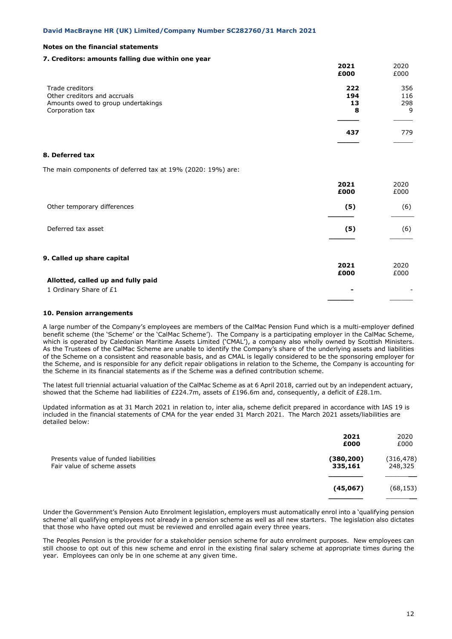# **Notes on the financial statements**

#### **7. Creditors: amounts falling due within one year**

|                                    | 2021<br>£000 | 2020<br>£000 |
|------------------------------------|--------------|--------------|
| Trade creditors                    | 222          | 356          |
| Other creditors and accruals       | 194          | 116          |
| Amounts owed to group undertakings | 13           | 298          |
| Corporation tax                    | 8            | 9            |
|                                    |              |              |
|                                    | 437          | 779          |
|                                    |              |              |

# **8. Deferred tax**

The main components of deferred tax at 19% (2020: 19%) are:

|                                    | 2021<br>£000 | 2020<br>£000 |
|------------------------------------|--------------|--------------|
| Other temporary differences        | (5)          | (6)          |
| Deferred tax asset                 | (5)          | (6)          |
| 9. Called up share capital         | 2021<br>£000 | 2020<br>£000 |
| Allotted, called up and fully paid |              |              |
| 1 Ordinary Share of £1             |              |              |
|                                    |              |              |

# **10. Pension arrangements**

A large number of the Company's employees are members of the CalMac Pension Fund which is a multi-employer defined benefit scheme (the 'Scheme' or the 'CalMac Scheme'). The Company is a participating employer in the CalMac Scheme, which is operated by Caledonian Maritime Assets Limited ('CMAL'), a company also wholly owned by Scottish Ministers. As the Trustees of the CalMac Scheme are unable to identify the Company's share of the underlying assets and liabilities of the Scheme on a consistent and reasonable basis, and as CMAL is legally considered to be the sponsoring employer for the Scheme, and is responsible for any deficit repair obligations in relation to the Scheme, the Company is accounting for the Scheme in its financial statements as if the Scheme was a defined contribution scheme.

The latest full triennial actuarial valuation of the CalMac Scheme as at 6 April 2018, carried out by an independent actuary, showed that the Scheme had liabilities of £224.7m, assets of £196.6m and, consequently, a deficit of £28.1m.

Updated information as at 31 March 2021 in relation to, inter alia, scheme deficit prepared in accordance with IAS 19 is included in the financial statements of CMA for the year ended 31 March 2021. The March 2021 assets/liabilities are detailed below:

|                                                                     | 2021<br>£000          | 2020<br>£000          |
|---------------------------------------------------------------------|-----------------------|-----------------------|
| Presents value of funded liabilities<br>Fair value of scheme assets | (380, 200)<br>335,161 | (316, 478)<br>248,325 |
|                                                                     | (45,067)              | (68, 153)             |

Under the Government's Pension Auto Enrolment legislation, employers must automatically enrol into a 'qualifying pension scheme' all qualifying employees not already in a pension scheme as well as all new starters. The legislation also dictates that those who have opted out must be reviewed and enrolled again every three years.

The Peoples Pension is the provider for a stakeholder pension scheme for auto enrolment purposes. New employees can still choose to opt out of this new scheme and enrol in the existing final salary scheme at appropriate times during the year. Employees can only be in one scheme at any given time.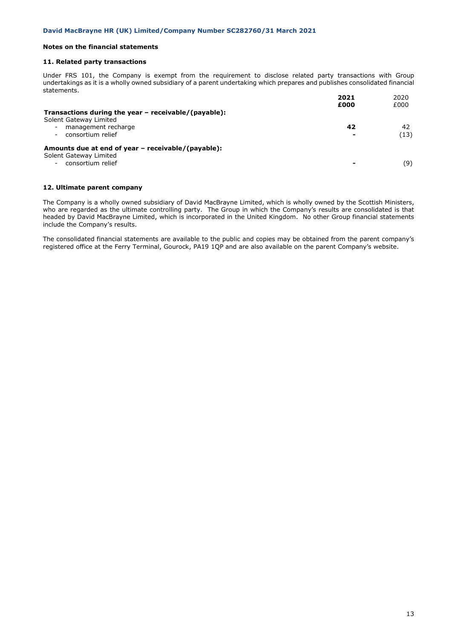#### **11. Related party transactions**

Under FRS 101, the Company is exempt from the requirement to disclose related party transactions with Group undertakings as it is a wholly owned subsidiary of a parent undertaking which prepares and publishes consolidated financial statements.

|                                                        | 2021<br>£000 | 2020<br>£000 |
|--------------------------------------------------------|--------------|--------------|
| Transactions during the year $-$ receivable/(payable): |              |              |
| Solent Gateway Limited<br>- management recharge        | 42           | 42           |
| - consortium relief                                    |              | (13)         |
| Amounts due at end of year - receivable/(payable):     |              |              |
| Solent Gateway Limited<br>- consortium relief          |              | (9)          |

# **12. Ultimate parent company**

The Company is a wholly owned subsidiary of David MacBrayne Limited, which is wholly owned by the Scottish Ministers, who are regarded as the ultimate controlling party. The Group in which the Company's results are consolidated is that headed by David MacBrayne Limited, which is incorporated in the United Kingdom. No other Group financial statements include the Company's results.

The consolidated financial statements are available to the public and copies may be obtained from the parent company's registered office at the Ferry Terminal, Gourock, PA19 1QP and are also available on the parent Company's website.